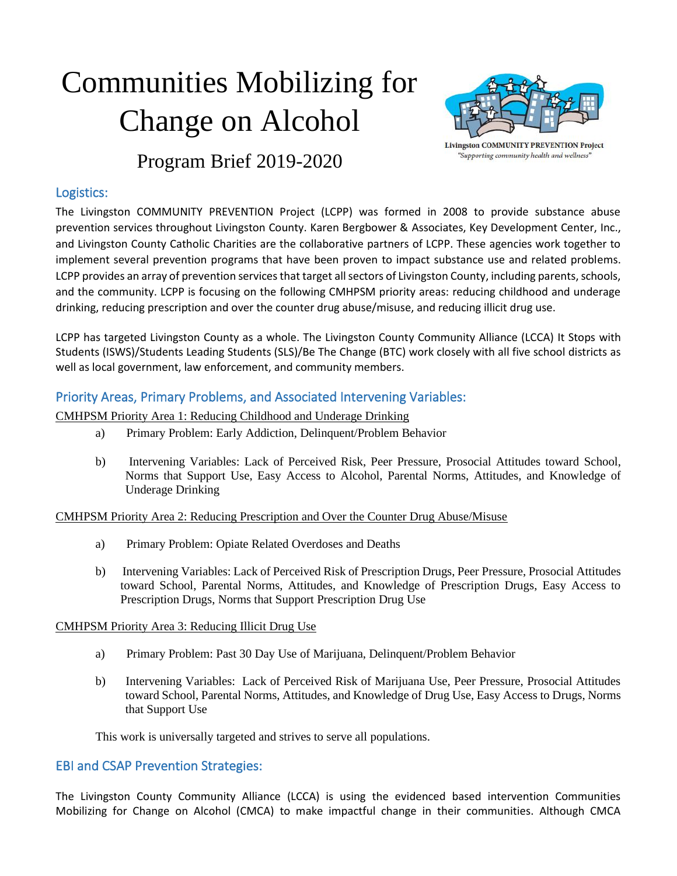# Communities Mobilizing for Change on Alcohol



**Livingston COMMUNITY PREVENTION Project** "Supporting community health and wellness"

Program Brief 2019-2020

### Logistics:

The Livingston COMMUNITY PREVENTION Project (LCPP) was formed in 2008 to provide substance abuse prevention services throughout Livingston County. Karen Bergbower & Associates, Key Development Center, Inc., and Livingston County Catholic Charities are the collaborative partners of LCPP. These agencies work together to implement several prevention programs that have been proven to impact substance use and related problems. LCPP provides an array of prevention services that target all sectors of Livingston County, including parents, schools, and the community. LCPP is focusing on the following CMHPSM priority areas: reducing childhood and underage drinking, reducing prescription and over the counter drug abuse/misuse, and reducing illicit drug use.

LCPP has targeted Livingston County as a whole. The Livingston County Community Alliance (LCCA) It Stops with Students (ISWS)/Students Leading Students (SLS)/Be The Change (BTC) work closely with all five school districts as well as local government, law enforcement, and community members.

## Priority Areas, Primary Problems, and Associated Intervening Variables:

CMHPSM Priority Area 1: Reducing Childhood and Underage Drinking

- a) Primary Problem: Early Addiction, Delinquent/Problem Behavior
- b) Intervening Variables: Lack of Perceived Risk, Peer Pressure, Prosocial Attitudes toward School, Norms that Support Use, Easy Access to Alcohol, Parental Norms, Attitudes, and Knowledge of Underage Drinking

CMHPSM Priority Area 2: Reducing Prescription and Over the Counter Drug Abuse/Misuse

- a) Primary Problem: Opiate Related Overdoses and Deaths
- b) Intervening Variables: Lack of Perceived Risk of Prescription Drugs, Peer Pressure, Prosocial Attitudes toward School, Parental Norms, Attitudes, and Knowledge of Prescription Drugs, Easy Access to Prescription Drugs, Norms that Support Prescription Drug Use

#### CMHPSM Priority Area 3: Reducing Illicit Drug Use

- a) Primary Problem: Past 30 Day Use of Marijuana, Delinquent/Problem Behavior
- b) Intervening Variables: Lack of Perceived Risk of Marijuana Use, Peer Pressure, Prosocial Attitudes toward School, Parental Norms, Attitudes, and Knowledge of Drug Use, Easy Access to Drugs, Norms that Support Use

This work is universally targeted and strives to serve all populations.

#### EBI and CSAP Prevention Strategies:

The Livingston County Community Alliance (LCCA) is using the evidenced based intervention Communities Mobilizing for Change on Alcohol (CMCA) to make impactful change in their communities. Although CMCA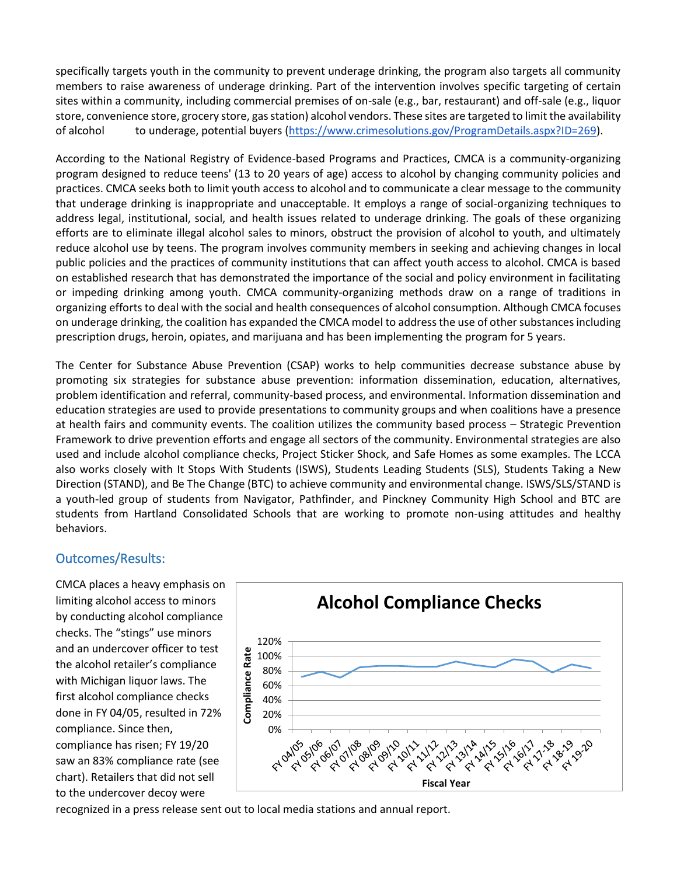specifically targets youth in the community to prevent underage drinking, the program also targets all community members to raise awareness of underage drinking. Part of the intervention involves specific targeting of certain sites within a community, including commercial premises of on-sale (e.g., bar, restaurant) and off-sale (e.g., liquor store, convenience store, grocery store, gas station) alcohol vendors. These sites are targeted to limit the availability of alcohol to underage, potential buyers [\(https://www.crimesolutions.gov/ProgramDetails.aspx?ID=269\)](https://www.crimesolutions.gov/ProgramDetails.aspx?ID=269).

According to the National Registry of Evidence-based Programs and Practices, CMCA is a community-organizing program designed to reduce teens' (13 to 20 years of age) access to alcohol by changing community policies and practices. CMCA seeks both to limit youth access to alcohol and to communicate a clear message to the community that underage drinking is inappropriate and unacceptable. It employs a range of social-organizing techniques to address legal, institutional, social, and health issues related to underage drinking. The goals of these organizing efforts are to eliminate illegal alcohol sales to minors, obstruct the provision of alcohol to youth, and ultimately reduce alcohol use by teens. The program involves community members in seeking and achieving changes in local public policies and the practices of community institutions that can affect youth access to alcohol. CMCA is based on established research that has demonstrated the importance of the social and policy environment in facilitating or impeding drinking among youth. CMCA community-organizing methods draw on a range of traditions in organizing efforts to deal with the social and health consequences of alcohol consumption. Although CMCA focuses on underage drinking, the coalition has expanded the CMCA model to address the use of other substances including prescription drugs, heroin, opiates, and marijuana and has been implementing the program for 5 years.

The Center for Substance Abuse Prevention (CSAP) works to help communities decrease substance abuse by promoting six strategies for substance abuse prevention: information dissemination, education, alternatives, problem identification and referral, community-based process, and environmental. Information dissemination and education strategies are used to provide presentations to community groups and when coalitions have a presence at health fairs and community events. The coalition utilizes the community based process – Strategic Prevention Framework to drive prevention efforts and engage all sectors of the community. Environmental strategies are also used and include alcohol compliance checks, Project Sticker Shock, and Safe Homes as some examples. The LCCA also works closely with It Stops With Students (ISWS), Students Leading Students (SLS), Students Taking a New Direction (STAND), and Be The Change (BTC) to achieve community and environmental change. ISWS/SLS/STAND is a youth-led group of students from Navigator, Pathfinder, and Pinckney Community High School and BTC are students from Hartland Consolidated Schools that are working to promote non-using attitudes and healthy behaviors.

#### Outcomes/Results:

CMCA places a heavy emphasis on limiting alcohol access to minors by conducting alcohol compliance checks. The "stings" use minors and an undercover officer to test the alcohol retailer's compliance with Michigan liquor laws. The first alcohol compliance checks done in FY 04/05, resulted in 72% compliance. Since then, compliance has risen; FY 19/20 saw an 83% compliance rate (see chart). Retailers that did not sell to the undercover decoy were



recognized in a press release sent out to local media stations and annual report.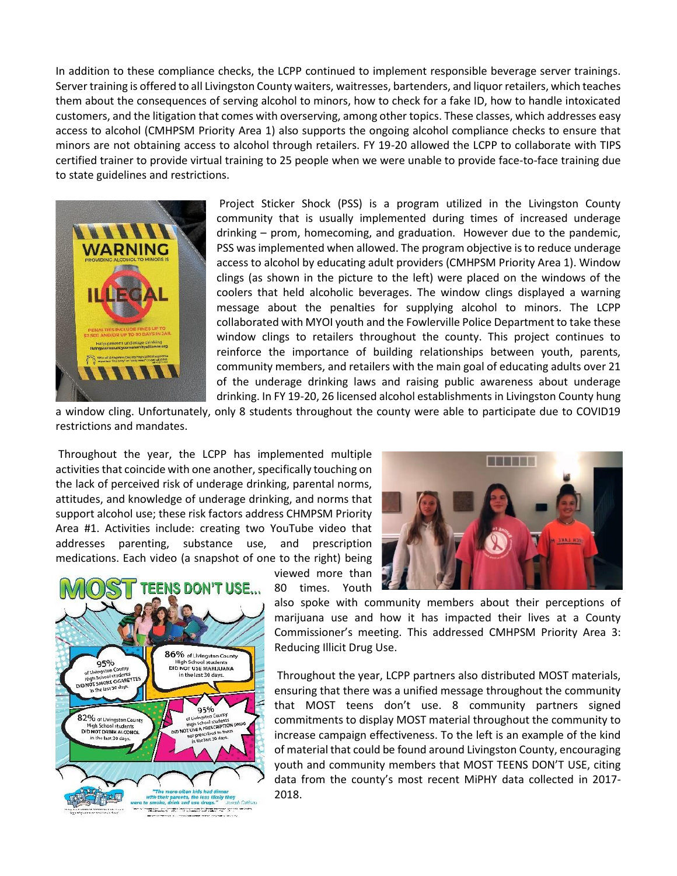In addition to these compliance checks, the LCPP continued to implement responsible beverage server trainings. Server training is offered to all Livingston County waiters, waitresses, bartenders, and liquor retailers, which teaches them about the consequences of serving alcohol to minors, how to check for a fake ID, how to handle intoxicated customers, and the litigation that comes with overserving, among other topics. These classes, which addresses easy access to alcohol (CMHPSM Priority Area 1) also supports the ongoing alcohol compliance checks to ensure that minors are not obtaining access to alcohol through retailers. FY 19-20 allowed the LCPP to collaborate with TIPS certified trainer to provide virtual training to 25 people when we were unable to provide face-to-face training due to state guidelines and restrictions.



Project Sticker Shock (PSS) is a program utilized in the Livingston County community that is usually implemented during times of increased underage drinking – prom, homecoming, and graduation. However due to the pandemic, PSS was implemented when allowed. The program objective is to reduce underage access to alcohol by educating adult providers (CMHPSM Priority Area 1). Window clings (as shown in the picture to the left) were placed on the windows of the coolers that held alcoholic beverages. The window clings displayed a warning message about the penalties for supplying alcohol to minors. The LCPP collaborated with MYOI youth and the Fowlerville Police Department to take these window clings to retailers throughout the county. This project continues to reinforce the importance of building relationships between youth, parents, community members, and retailers with the main goal of educating adults over 21 of the underage drinking laws and raising public awareness about underage drinking. In FY 19-20, 26 licensed alcohol establishments in Livingston County hung

a window cling. Unfortunately, only 8 students throughout the county were able to participate due to COVID19 restrictions and mandates.

Throughout the year, the LCPP has implemented multiple activities that coincide with one another, specifically touching on the lack of perceived risk of underage drinking, parental norms, attitudes, and knowledge of underage drinking, and norms that support alcohol use; these risk factors address CHMPSM Priority Area #1. Activities include: creating two YouTube video that addresses parenting, substance use, and prescription medications. Each video (a snapshot of one to the right) being







also spoke with community members about their perceptions of marijuana use and how it has impacted their lives at a County Commissioner's meeting. This addressed CMHPSM Priority Area 3: Reducing Illicit Drug Use.

Throughout the year, LCPP partners also distributed MOST materials, ensuring that there was a unified message throughout the community that MOST teens don't use. 8 community partners signed commitments to display MOST material throughout the community to increase campaign effectiveness. To the left is an example of the kind of material that could be found around Livingston County, encouraging youth and community members that MOST TEENS DON'T USE, citing data from the county's most recent MiPHY data collected in 2017- 2018.